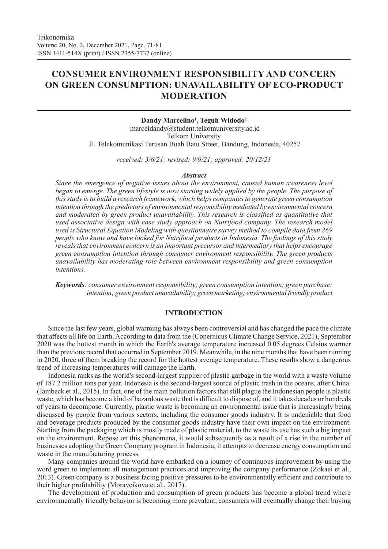# **CONSUMER ENVIRONMENT RESPONSIBILITY AND CONCERN ON GREEN CONSUMPTION: UNAVAILABILITY OF ECO-PRODUCT MODERATION**

**Dandy Marcelino1 , Teguh Widodo2** 1 marceldandy@student.telkomuniversity.ac.id Telkom University Jl. Telekomunikasi Terusan Buah Batu Street, Bandung, Indonesia, 40257

*received: 3/6/21; revised: 9/9/21; approved: 20/12/21*

#### *Abstract*

*Since the emergence of negative issues about the environment, caused human awareness level began to emerge. The green lifestyle is now starting widely applied by the people. The purpose of this study is to build a research framework, which helps companies to generate green consumption intention through the predictors of environmental responsibility mediated by environmental concern and moderated by green product unavailability. This research is classified as quantitative that used associative design with case study approach on Nutrifood company. The research model used is Structural Equation Modeling with questionnaire survey method to compile data from 269 people who know and have looked for Nutrifood products in Indonesia. The findings of this study reveals that environment concern is an important precursor and intermediary that helps encourage green consumption intention through consumer environment responsibility. The green products unavailability has moderating role between environment responsibility and green consumption intentions.* 

*Keywords: consumer environment responsibility; green consumption intention; green purchase; intention; green product unavailability; green marketing; environmental friendly product*

## **INTRODUCTION**

Since the last few years, global warming has always been controversial and has changed the pace the climate that affects all life on Earth. According to data from the (Copernicus Climate Change Service, 2021), September 2020 was the hottest month in which the Earth's average temperature increased 0.05 degrees Celsius warmer than the previous record that occurred in September 2019. Meanwhile, in the nine months that have been running in 2020, three of them breaking the record for the hottest average temperature. These results show a dangerous trend of increasing temperatures will damage the Earth.

Indonesia ranks as the world's second-largest supplier of plastic garbage in the world with a waste volume of 187.2 million tons per year. Indonesia is the second-largest source of plastic trash in the oceans, after China. (Jambeck et al., 2015). In fact, one of the main pollution factors that still plague the Indonesian people is plastic waste, which has become a kind of hazardous waste that is difficult to dispose of, and it takes decades or hundreds of years to decompose. Currently, plastic waste is becoming an environmental issue that is increasingly being discussed by people from various sectors, including the consumer goods industry. It is undeniable that food and beverage products produced by the consumer goods industry have their own impact on the environment. Starting from the packaging which is mostly made of plastic material, to the waste its use has such a big impact on the environment. Repose on this phenomena, it would subsequently as a result of a rise in the number of businesses adopting the Green Company program in Indonesia, it attempts to decrease energy consumption and waste in the manufacturing process.

Many companies around the world have embarked on a journey of continuous improvement by using the word green to implement all management practices and improving the company performance (Zokaei et al., 2013). Green company is a business facing positive pressures to be environmentally efficient and contribute to their higher profitability (Moravcikova et al., 2017).

The development of production and consumption of green products has become a global trend where environmentally friendly behavior is becoming more prevalent, consumers will eventually change their buying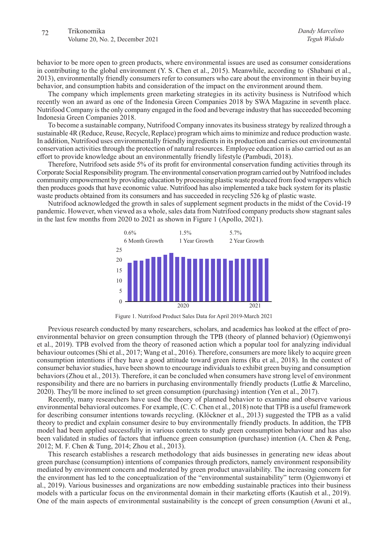behavior to be more open to green products, where environmental issues are used as consumer considerations in contributing to the global environment (Y. S. Chen et al., 2015). Meanwhile, according to (Shabani et al., 2013), environmentally friendly consumers refer to consumers who care about the environment in their buying behavior, and consumption habits and consideration of the impact on the environment around them.

The company which implements green marketing strategies in its activity business is Nutrifood which recently won an award as one of the Indonesia Green Companies 2018 by SWA Magazine in seventh place. Nutrifood Company is the only company engaged in the food and beverage industry that has succeeded becoming Indonesia Green Companies 2018.

To become a sustainable company, Nutrifood Company innovates its business strategy by realized through a sustainable 4R (Reduce, Reuse, Recycle, Replace) program which aims to minimize and reduce production waste. In addition, Nutrifood uses environmentally friendly ingredients in its production and carries out environmental conservation activities through the protection of natural resources. Employee education is also carried out as an effort to provide knowledge about an environmentally friendly lifestyle (Pambudi, 2018).

Therefore, Nutrifood sets aside 5% of its profit for environmental conservation funding activities through its Corporate Social Responsibility program. The environmental conservation program carried out by Nutrifood includes community empowerment by providing education by processing plastic waste produced from food wrappers which then produces goods that have economic value. Nutrifood has also implemented a take back system for its plastic waste products obtained from its consumers and has succeeded in recycling 526 kg of plastic waste.

Nutrifood acknowledged the growth in sales of supplement segment products in the midst of the Covid-19 pandemic. However, when viewed as a whole, sales data from Nutrifood company products show stagnant sales in the last few months from 2020 to 2021 as shown in Figure 1 (Apollo, 2021).



Figure 1. Nutrifood Product Sales Data for April 2019-March 2021

Previous research conducted by many researchers, scholars, and academics has looked at the effect of proenvironmental behavior on green consumption through the TPB (theory of planned behavior) (Ogiemwonyi et al., 2019). TPB evolved from the theory of reasoned action which a popular tool for analyzing individual behaviour outcomes (Shi et al., 2017; Wang et al., 2016). Therefore, consumers are more likely to acquire green consumption intentions if they have a good attitude toward green items (Ru et al., 2018). In the context of consumer behavior studies, have been shown to encourage individuals to exhibit green buying and consumption behaviors (Zhou et al., 2013). Therefore, it can be concluded when consumers have strong level of environment responsibility and there are no barriers in purchasing environmentally friendly products (Lutfie & Marcelino, 2020). They'll be more inclined to set green consumption (purchasing) intention (Yen et al., 2017).

Recently, many researchers have used the theory of planned behavior to examine and observe various environmental behavioral outcomes. For example, (C. C. Chen et al., 2018) note that TPB is a useful framework for describing consumer intentions towards recycling. (Klöckner et al., 2013) suggested the TPB as a valid theory to predict and explain consumer desire to buy environmentally friendly products. In addition, the TPB model had been applied successfully in various contexts to study green consumption behaviour and has also been validated in studies of factors that influence green consumption (purchase) intention (A. Chen & Peng, 2012; M. F. Chen & Tung, 2014; Zhou et al., 2013).

This research establishes a research methodology that aids businesses in generating new ideas about green purchase (consumption) intentions of companies through predictors, namely environment responsibility mediated by environment concern and moderated by green product unavailability. The increasing concern for the environment has led to the conceptualization of the "environmental sustainability" term (Ogiemwonyi et al., 2019). Various businesses and organizations are now embedding sustainable practices into their business models with a particular focus on the environmental domain in their marketing efforts (Kautish et al., 2019). One of the main aspects of environmental sustainability is the concept of green consumption (Awuni et al.,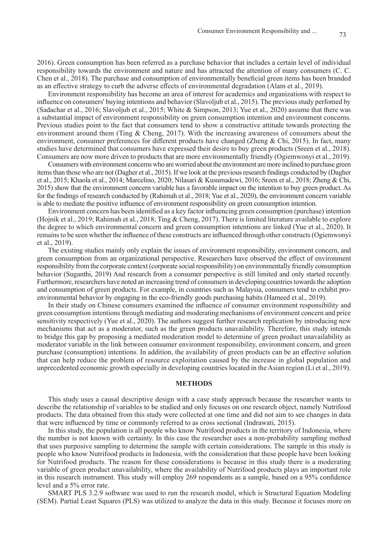2016). Green consumption has been referred as a purchase behavior that includes a certain level of individual responsibility towards the environment and nature and has attracted the attention of many consumers (C. C. Chen et al., 2018). The purchase and consumption of environmentally beneficial green items has been branded as an effective strategy to curb the adverse effects of environmental degradation (Alam et al., 2019).

Environment responsibility has become an area of interest for academics and organizations with respect to influence on consumers' buying intentions and behavior (Slavoljub et al., 2015). The previous study perfomed by (Sadachar et al., 2016; Slavoljub et al., 2015; White & Simpson, 2013; Yue et al., 2020) assume that there was a substantial impact of environment responsibility on green consumption intention and environment concerns. Previous studies point to the fact that consumers tend to show a constructive attitude towards protecting the environment around them (Ting & Cheng, 2017). With the increasing awareness of consumers about the environment, consumer preferences for different products have changed (Zheng & Chi, 2015). In fact, many studies have determined that consumers have expressed their desire to buy green products (Sreen et al., 2018). Consumers are now more driven to products that are more environmentally friendly (Ogiemwonyi et al., 2019).

Consumers with environment concerns who are worried about the environment are more inclined to purchase green items than those who are not (Dagher et al., 2015). If we look at the previous research findings conducted by (Dagher et al., 2015; Khaola et al., 2014; Marcelino, 2020; Nilasari & Kusumadewi, 2016; Sreen et al., 2018; Zheng & Chi, 2015) show that the environment concern variable has a favorable impact on the intention to buy green product. As for the findings of research conducted by (Rahimah et al., 2018; Yue et al., 2020), the environment concern variable is able to mediate the positive influence of environment responsibility on green consumption intention.

Environment concern has been identified as a key factor influencing green consumption (purchase) intention (Hojnik et al., 2019; Rahimah et al., 2018; Ting & Cheng, 2017). There is limited literature available to explore the degree to which environmental concern and green consumption intentions are linked (Yue et al., 2020). It remains to be seen whether the influence of these constructs are influenced through other constructs (Ogiemwonyi et al., 2019).

The existing studies mainly only explain the issues of environment responsibility, environment concern, and green consumption from an organizational perspective. Researchers have observed the effect of environment responsibility from the corporate context (corporate social responsibility) on environmentally friendly consumption behavior (Suganthi, 2019) And research from a consumer perspective is still limited and only started recently. Furthermore, researchers have noted an increasing trend of consumers in developing countries towards the adoption and consumption of green products. For example, in countries such as Malaysia, consumers tend to exhibit proenvironmental behavior by engaging in the eco-friendly goods purchasing habits (Hameed et al., 2019).

In their study on Chinese consumers examined the influence of consumer environment responsibility and green consumption intentions through mediating and moderating mechanisms of environment concern and price sensitivity respectively (Yue et al., 2020). The authors suggest further research replication by introducing new mechanisms that act as a moderator, such as the green products unavailability. Therefore, this study intends to bridge this gap by proposing a mediated moderation model to determine of green product unavailability as moderator variable in the link between consumer environment responsibility, environment concern, and green purchase (consumption) intentions. In addition, the availability of green products can be an effective solution that can help reduce the problem of resource exploitation caused by the increase in global population and unprecedented economic growth especially in developing countries located in the Asian region (Li et al., 2019).

#### **METHODS**

This study uses a causal descriptive design with a case study approach because the researcher wants to describe the relationship of variables to be studied and only focuses on one research object, namely Nutrifood products. The data obtained from this study were collected at one time and did not aim to see changes in data that were influenced by time or commonly referred to as cross sectional (Indrawati, 2015).

In this study, the population is all people who know Nutrifood products in the territory of Indonesia, where the number is not known with certainty. In this case the researcher uses a non-probability sampling method that uses purposive sampling to determine the sample with certain considerations. The sample in this study is people who know Nutrifood products in Indonesia, with the consideration that these people have been looking for Nutrifood products. The reason for these considerations is because in this study there is a moderating variable of green product unavailability, where the availability of Nutrifood products plays an important role in this research instrument. This study will employ 269 respondents as a sample, based on a 95% confidence level and a 5% error rate.

SMART PLS 3.2.9 software was used to run the research model, which is Structural Equation Modeling (SEM). Partial Least Squares (PLS) was utilized to analyze the data in this study. Because it focuses more on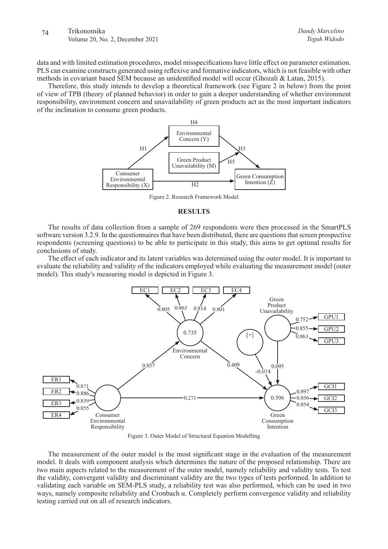data and with limited estimation procedures, model misspecifications have little effect on parameter estimation. PLS can examine constructs generated using reflexive and formative indicators, which is not feasible with other methods in covariant based SEM because an unidentified model will occur (Ghozali & Latan, 2015).

Therefore, this study intends to develop a theoretical framework (see Figure 2 in below) from the point of view of TPB (theory of planned behavior) in order to gain a deeper understanding of whether environment responsibility, environment concern and unavailability of green products act as the most important indicators of the inclination to consume green products.



Figure 2. Research Framework Model

# **RESULTS**

The results of data collection from a sample of 269 respondents were then processed in the SmartPLS software version 3.2.9. In the questionnaires that have been distributed, there are questions that screen prospective respondents (screening questions) to be able to participate in this study, this aims to get optimal results for conclusions of study.

The effect of each indicator and its latent variables was determined using the outer model. It is important to evaluate the reliability and validity of the indicators employed while evaluating the measurement model (outer model). This study's measuring model is depicted in Figure 3.



Figure 3. Outer Model of Structural Equation Modelling

The measurement of the outer model is the most significant stage in the evaluation of the measurement model. It deals with component analysis which determines the nature of the proposed relationship. There are two main aspects related to the measurement of the outer model, namely reliability and validity tests. To test the validity, convergent validity and discriminant validity are the two types of tests performed. In addition to validating each variable on SEM-PLS study, a reliability test was also performed, which can be used in two ways, namely composite reliability and Cronbach α. Completely perform convergence validity and reliability testing carried out on all of research indicators.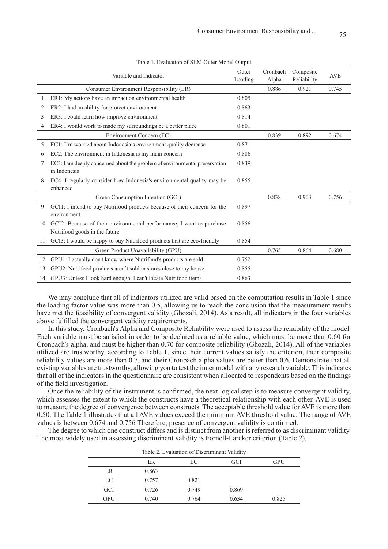| Variable and Indicator |                                                                                          | Outer<br>Loading | Cronbach<br>Alpha | Composite<br>Reliability | <b>AVE</b> |
|------------------------|------------------------------------------------------------------------------------------|------------------|-------------------|--------------------------|------------|
|                        | Consumer Environment Responsibility (ER)                                                 |                  | 0.886             | 0.921                    | 0.745      |
|                        | ER1: My actions have an impact on environmental health                                   | 0.805            |                   |                          |            |
| 2                      | ER2: I had an ability for protect environment                                            | 0.863            |                   |                          |            |
| 3                      | ER3: I could learn how improve environment                                               | 0.814            |                   |                          |            |
| 4                      | ER4: I would work to made my surroundings be a better place                              | 0.801            |                   |                          |            |
|                        | Environment Concern (EC)                                                                 |                  | 0.839             | 0.892                    | 0.674      |
| 5                      | EC1: I'm worried about Indonesia's environment quality decrease                          | 0.871            |                   |                          |            |
| 6                      | EC2: The environment in Indonesia is my main concern                                     | 0.886            |                   |                          |            |
| 7                      | EC3: I am deeply concerned about the problem of environmental preservation               | 0.839            |                   |                          |            |
|                        | in Indonesia                                                                             |                  |                   |                          |            |
| 8                      | EC4: I regularly consider how Indonesia's environmental quality may be<br>enhanced       | 0.855            |                   |                          |            |
|                        | Green Consumption Intention (GCI)                                                        |                  | 0.838             | 0.903                    | 0.756      |
| 9                      | GCI1: I intend to buy Nutrifood products because of their concern for the<br>environment | 0.897            |                   |                          |            |
| 10                     | GCI2: Because of their environmental performance, I want to purchase                     | 0.856            |                   |                          |            |
|                        | Nutrifood goods in the future                                                            |                  |                   |                          |            |
| 11                     | GCI3: I would be happy to buy Nutrifood products that are eco-friendly                   | 0.854            |                   |                          |            |
|                        | Green Product Unavailability (GPU)                                                       |                  | 0.765             | 0.864                    | 0.680      |
| 12                     | GPU1: I actually don't know where Nutrifood's products are sold                          | 0.752            |                   |                          |            |
| 13                     | GPU2: Nutrifood products aren't sold in stores close to my house                         | 0.855            |                   |                          |            |
| 14                     | GPU3: Unless I look hard enough, I can't locate Nutrifood items                          | 0.863            |                   |                          |            |

Table 1. Evaluation of SEM Outer Model Output

We may conclude that all of indicators utilized are valid based on the computation results in Table 1 since the loading factor value was more than 0.5, allowing us to reach the conclusion that the measurement results have met the feasibility of convergent validity (Ghozali, 2014). As a result, all indicators in the four variables above fulfilled the convergent validity requirements.

In this study, Cronbach's Alpha and Composite Reliability were used to assess the reliability of the model. Each variable must be satisfied in order to be declared as a reliable value, which must be more than 0.60 for Cronbach's alpha, and must be higher than 0.70 for composite reliability (Ghozali, 2014). All of the variables utilized are trustworthy, according to Table 1, since their current values satisfy the criterion, their composite reliability values are more than 0.7, and their Cronbach alpha values are better than 0.6. Demonstrate that all existing variables are trustworthy, allowing you to test the inner model with any research variable. This indicates that all of the indicators in the questionnaire are consistent when allocated to respondents based on the findings of the field investigation.

Once the reliability of the instrument is confirmed, the next logical step is to measure convergent validity, which assesses the extent to which the constructs have a theoretical relationship with each other. AVE is used to measure the degree of convergence between constructs. The acceptable threshold value for AVE is more than 0.50. The Table 1 illustrates that all AVE values exceed the minimum AVE threshold value. The range of AVE values is between 0.674 and 0.756 Therefore, presence of convergent validity is confirmed.

The degree to which one construct differs and is distinct from another is referred to as discriminant validity. The most widely used in assessing discriminant validity is Fornell-Larcker criterion (Table 2).

| Table 2. Evaluation of Discriminant Validity |       |       |       |       |  |  |  |
|----------------------------------------------|-------|-------|-------|-------|--|--|--|
| <b>ER</b><br><b>GPU</b><br>EC<br>GCI         |       |       |       |       |  |  |  |
| ER                                           | 0.863 |       |       |       |  |  |  |
| EC                                           | 0.757 | 0.821 |       |       |  |  |  |
| <b>GCI</b>                                   | 0.726 | 0.749 | 0.869 |       |  |  |  |
| <b>GPU</b>                                   | 0.740 | 0.764 | 0.634 | 0.825 |  |  |  |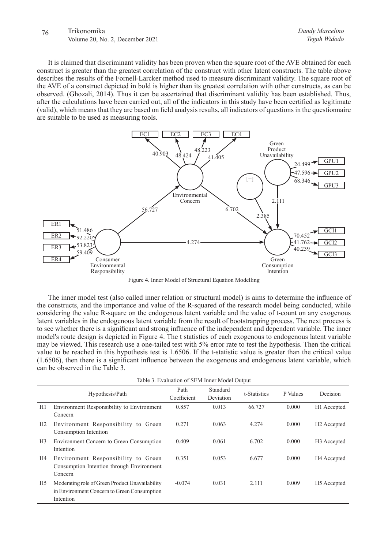# 76 Trikonomika Volume 20, No. 2, December 2021

It is claimed that discriminant validity has been proven when the square root of the AVE obtained for each construct is greater than the greatest correlation of the construct with other latent constructs. The table above describes the results of the Fornell-Larcker method used to measure discriminant validity. The square root of the AVE of a construct depicted in bold is higher than its greatest correlation with other constructs, as can be observed. (Ghozali, 2014). Thus it can be ascertained that discriminant validity has been established. Thus, after the calculations have been carried out, all of the indicators in this study have been certified as legitimate (valid), which means that they are based on field analysis results, all indicators of questions in the questionnaire are suitable to be used as measuring tools.



Figure 4. Inner Model of Structural Equation Modelling

The inner model test (also called inner relation or structural model) is aims to determine the influence of the constructs, and the importance and value of the R-squared of the research model being conducted, while considering the value R-square on the endogenous latent variable and the value of t-count on any exogenous latent variables in the endogenous latent variable from the result of bootstrapping process. The next process is to see whether there is a significant and strong influence of the independent and dependent variable. The inner model's route design is depicted in Figure 4. The t statistics of each exogenous to endogenous latent variable may be viewed. This research use a one-tailed test with 5% error rate to test the hypothesis. Then the critical value to be reached in this hypothesis test is 1.6506. If the t-statistic value is greater than the critical value (1.6506), then there is a significant influence between the exogenous and endogenous latent variable, which can be observed in the Table 3.

| Table 3. Evaluation of SEM Inner Model Output |                                                                                                             |                     |                       |              |          |                         |
|-----------------------------------------------|-------------------------------------------------------------------------------------------------------------|---------------------|-----------------------|--------------|----------|-------------------------|
|                                               | Hypothesis/Path                                                                                             | Path<br>Coefficient | Standard<br>Deviation | t-Statistics | P Values | Decision                |
| H1                                            | Environment Responsibility to Environment<br>Concern                                                        | 0.857               | 0.013                 | 66.727       | 0.000    | H1 Accepted             |
| H2                                            | Environment Responsibility to Green<br>Consumption Intention                                                | 0.271               | 0.063                 | 4.274        | 0.000    | H <sub>2</sub> Accepted |
| H3                                            | Environment Concern to Green Consumption<br>Intention                                                       | 0.409               | 0.061                 | 6.702        | 0.000    | H <sub>3</sub> Accepted |
| H4                                            | Environment Responsibility to Green<br>Consumption Intention through Environment<br>Concern                 | 0.351               | 0.053                 | 6.677        | 0.000    | H <sub>4</sub> Accepted |
| H <sub>5</sub>                                | Moderating role of Green Product Unavailability<br>in Environment Concern to Green Consumption<br>Intention | $-0.074$            | 0.031                 | 2.111        | 0.009    | H <sub>5</sub> Accepted |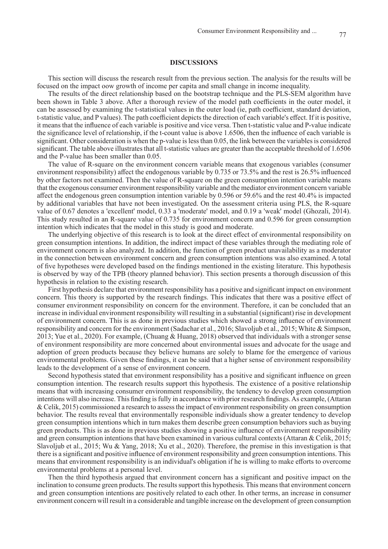## **DISCUSSIONS**

This section will discuss the research result from the previous section. The analysis for the results will be focused on the impact oow growth of income per capita and small change in income inequality.

The results of the direct relationship based on the bootstrap technique and the PLS-SEM algorithm have been shown in Table 3 above. After a thorough review of the model path coefficients in the outer model, it can be assessed by examining the t-statistical values in the outer load (ie, path coefficient, standard deviation, t-statistic value, and P values). The path coefficient depicts the direction of each variable's effect. If it is positive, it means that the influence of each variable is positive and vice versa. Then t-statistic value and P-value indicate the significance level of relationship, if the t-count value is above 1.6506, then the influence of each variable is significant. Other consideration is when the p-value is less than 0.05, the link between the variables is considered significant. The table above illustrates that all t-statistic values are greater than the acceptable threshold of 1.6506 and the P-value has been smaller than 0.05.

The value of R-square on the environment concern variable means that exogenous variables (consumer environment responsibility) affect the endogenous variable by 0.735 or 73.5% and the rest is 26.5% influenced by other factors not examined. Then the value of R-square on the green consumption intention variable means that the exogenous consumer environment responsibility variable and the mediator environment concern variable affect the endogenous green consumption intention variable by 0.596 or 59.6% and the rest 40.4% is impacted by additional variables that have not been investigated. On the assessment criteria using PLS, the R-square value of 0.67 denotes a 'excellent' model, 0.33 a 'moderate' model, and 0.19 a 'weak' model (Ghozali, 2014). This study resulted in an R-square value of 0.735 for environment concern and 0.596 for green consumption intention which indicates that the model in this study is good and moderate.

The underlying objective of this research is to look at the direct effect of environmental responsibility on green consumption intentions. In addition, the indirect impact of these variables through the mediating role of environment concern is also analyzed. In addition, the function of green product unavailability as a moderator in the connection between environment concern and green consumption intentions was also examined. A total of five hypotheses were developed based on the findings mentioned in the existing literature. This hypothesis is observed by way of the TPB (theory planned behavior). This section presents a thorough discussion of this hypothesis in relation to the existing research.

First hypothesis declare that environment responsibility has a positive and significant impact on environment concern. This theory is supported by the research findings. This indicates that there was a positive effect of consumer environment responsibility on concern for the environment. Therefore, it can be concluded that an increase in individual environment responsibility will resulting in a substantial (significant) rise in development of environment concern. This is as done in previous studies which showed a strong influence of environment responsibility and concern for the environment (Sadachar et al., 2016; Slavoljub et al., 2015; White & Simpson, 2013; Yue et al., 2020). For example, (Chuang & Huang, 2018) observed that individuals with a stronger sense of environment responsibility are more concerned about environmental issues and advocate for the usage and adoption of green products because they believe humans are solely to blame for the emergence of various environmental problems. Given these findings, it can be said that a higher sense of environment responsibility leads to the development of a sense of environment concern.

Second hypothesis stated that environment responsibility has a positive and significant influence on green consumption intention. The research results support this hypothesis. The existence of a positive relationship means that with increasing consumer environment responsibility, the tendency to develop green consumption intentions will also increase. This finding is fully in accordance with prior research findings. As example, (Attaran & Celik, 2015) commissioned a research to assess the impact of environment responsibility on green consumption behavior. The results reveal that environmentally responsible individuals show a greater tendency to develop green consumption intentions which in turn makes them describe green consumption behaviors such as buying green products. This is as done in previous studies showing a positive influence of environment responsibility and green consumption intentions that have been examined in various cultural contexts (Attaran & Celik, 2015; Slavoljub et al., 2015; Wu & Yang, 2018; Xu et al., 2020). Therefore, the premise in this investigation is that there is a significant and positive influence of environment responsibility and green consumption intentions. This means that environment responsibility is an individual's obligation if he is willing to make efforts to overcome environmental problems at a personal level.

Then the third hypothesis argued that environment concern has a significant and positive impact on the inclination to consume green products. The results support this hypothesis. This means that environment concern and green consumption intentions are positively related to each other. In other terms, an increase in consumer environment concern will result in a considerable and tangible increase on the development of green consumption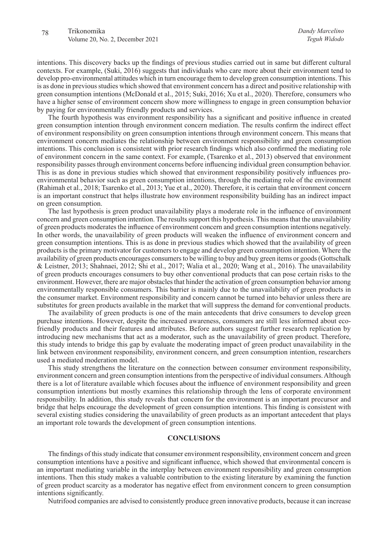intentions. This discovery backs up the findings of previous studies carried out in same but different cultural contexts. For example, (Suki, 2016) suggests that individuals who care more about their environment tend to develop pro-environmental attitudes which in turn encourage them to develop green consumption intentions. This is as done in previous studies which showed that environment concern has a direct and positive relationship with green consumption intentions (McDonald et al., 2015; Suki, 2016; Xu et al., 2020). Therefore, consumers who have a higher sense of environment concern show more willingness to engage in green consumption behavior by paying for environmentally friendly products and services.

The fourth hypothesis was environment responsibility has a significant and positive influence in created green consumption intention through environment concern mediation. The results confirm the indirect effect of environment responsibility on green consumption intentions through environment concern. This means that environment concern mediates the relationship between environment responsibility and green consumption intentions. This conclusion is consistent with prior research findings which also confirmed the mediating role of environment concern in the same context. For example, (Tsarenko et al., 2013) observed that environment responsibility passes through environment concerns before influencing individual green consumption behavior. This is as done in previous studies which showed that environment responsibility positively influences proenvironmental behavior such as green consumption intentions, through the mediating role of the environment (Rahimah et al., 2018; Tsarenko et al., 2013; Yue et al., 2020). Therefore, it is certain that environment concern is an important construct that helps illustrate how environment responsibility building has an indirect impact on green consumption.

The last hypothesis is green product unavailability plays a moderate role in the influence of environment concern and green consumption intention. The results support this hypothesis. This means that the unavailability of green products moderates the influence of environment concern and green consumption intentions negatively. In other words, the unavailability of green products will weaken the influence of environment concern and green consumption intentions. This is as done in previous studies which showed that the availability of green products is the primary motivator for customers to engage and develop green consumption intention. Where the availability of green products encourages consumers to be willing to buy and buy green items or goods (Gottschalk & Leistner, 2013; Shahnaei, 2012; Shi et al., 2017; Walia et al., 2020; Wang et al., 2016). The unavailability of green products encourages consumers to buy other conventional products that can pose certain risks to the environment. However, there are major obstacles that hinder the activation of green consumption behavior among environmentally responsible consumers. This barrier is mainly due to the unavailability of green products in the consumer market. Environment responsibility and concern cannot be turned into behavior unless there are substitutes for green products available in the market that will suppress the demand for conventional products.

The availability of green products is one of the main antecedents that drive consumers to develop green purchase intentions. However, despite the increased awareness, consumers are still less informed about ecofriendly products and their features and attributes. Before authors suggest further research replication by introducing new mechanisms that act as a moderator, such as the unavailability of green product. Therefore, this study intends to bridge this gap by evaluate the moderating impact of green product unavailability in the link between environment responsibility, environment concern, and green consumption intention, researchers used a mediated moderation model.

This study strengthens the literature on the connection between consumer environment responsibility, environment concern and green consumption intentions from the perspective of individual consumers. Although there is a lot of literature available which focuses about the influence of environment responsibility and green consumption intentions but mostly examines this relationship through the lens of corporate environment responsibility. In addition, this study reveals that concern for the environment is an important precursor and bridge that helps encourage the development of green consumption intentions. This finding is consistent with several existing studies considering the unavailability of green products as an important antecedent that plays an important role towards the development of green consumption intentions.

# **CONCLUSIONS**

The findings of this study indicate that consumer environment responsibility, environment concern and green consumption intentions have a positive and significant influence, which showed that environmental concern is an important mediating variable in the interplay between environment responsibility and green consumption intentions. Then this study makes a valuable contribution to the existing literature by examining the function of green product scarcity as a moderator has negative effect from environment concern to green consumption intentions significantly.

Nutrifood companies are advised to consistently produce green innovative products, because it can increase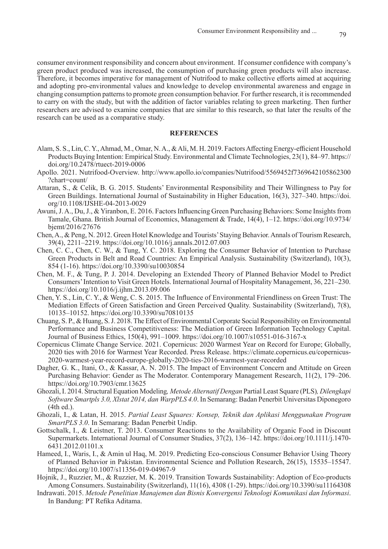consumer environment responsibility and concern about environment. If consumer confidence with company's green product produced was increased, the consumption of purchasing green products will also increase. Therefore, it becomes imperative for management of Nutrifood to make collective efforts aimed at acquiring and adopting pro-environmental values and knowledge to develop environmental awareness and engage in changing consumption patterns to promote green consumption behavior. For further research, it is recommended to carry on with the study, but with the addition of factor variables relating to green marketing. Then further researchers are advised to examine companies that are similar to this research, so that later the results of the research can be used as a comparative study.

## **REFERENCES**

- Alam, S. S., Lin, C. Y., Ahmad, M., Omar, N. A., & Ali, M. H. 2019. Factors Affecting Energy-efficient Household Products Buying Intention: Empirical Study. Environmental and Climate Technologies, 23(1), 84–97. https:// doi.org/10.2478/rtuect-2019-0006
- Apollo. 2021. Nutrifood-Overview. http://www.apollo.io/companies/Nutrifood/5569452f7369642105862300 ?chart=count/
- Attaran, S., & Celik, B. G. 2015. Students' Environmental Responsibility and Their Willingness to Pay for Green Buildings. International Journal of Sustainability in Higher Education, 16(3), 327–340. https://doi. org/10.1108/IJSHE-04-2013-0029
- Awuni, J. A., Du, J., & Yiranbon, E. 2016. Factors Influencing Green Purchasing Behaviors: Some Insights from Tamale, Ghana. British Journal of Economics, Management & Trade, 14(4), 1–12. https://doi.org/10.9734/ bjemt/2016/27676
- Chen, A., & Peng, N. 2012. Green Hotel Knowledge and Tourists' Staying Behavior. Annals of Tourism Research, 39(4), 2211–2219. https://doi.org/10.1016/j.annals.2012.07.003
- Chen, C. C., Chen, C. W., & Tung, Y. C. 2018. Exploring the Consumer Behavior of Intention to Purchase Green Products in Belt and Road Countries: An Empirical Analysis. Sustainability (Switzerland), 10(3), 854 (1-16). https://doi.org/10.3390/su10030854
- Chen, M. F., & Tung, P. J. 2014. Developing an Extended Theory of Planned Behavior Model to Predict Consumers' Intention to Visit Green Hotels. International Journal of Hospitality Management, 36, 221–230. https://doi.org/10.1016/j.ijhm.2013.09.006
- Chen, Y. S., Lin, C. Y., & Weng, C. S. 2015. The Influence of Environmental Friendliness on Green Trust: The Mediation Effects of Green Satisfaction and Green Perceived Quality. Sustainability (Switzerland), 7(8), 10135–10152. https://doi.org/10.3390/su70810135
- Chuang, S. P., & Huang, S. J. 2018. The Effect of Environmental Corporate Social Responsibility on Environmental Performance and Business Competitiveness: The Mediation of Green Information Technology Capital. Journal of Business Ethics, 150(4), 991–1009. https://doi.org/10.1007/s10551-016-3167-x
- Copernicus Climate Change Service. 2021. Copernicus: 2020 Warmest Year on Record for Europe; Globally, 2020 ties with 2016 for Warmest Year Recorded. Press Release. https://climate.copernicus.eu/copernicus-2020-warmest-year-record-europe-globally-2020-ties-2016-warmest-year-recorded
- Dagher, G. K., Itani, O., & Kassar, A. N. 2015. The Impact of Environment Concern and Attitude on Green Purchasing Behavior: Gender as The Moderator. Contemporary Management Research, 11(2), 179–206. https://doi.org/10.7903/cmr.13625
- Ghozali, I. 2014. Structural Equation Modeling*, Metode Alternatif Dengan* Partial Least Square (PLS)*, Dilengkapi Software Smartpls 3.0, Xlstat 2014, dan WarpPLS 4.0*. In Semarang: Badan Penerbit Universitas Diponegoro (4th ed.).
- Ghozali, I., & Latan, H. 2015. *Partial Least Squares: Konsep, Teknik dan Aplikasi Menggunakan Program SmartPLS 3.0*. In Semarang: Badan Penerbit Undip.
- Gottschalk, I., & Leistner, T. 2013. Consumer Reactions to the Availability of Organic Food in Discount Supermarkets. International Journal of Consumer Studies, 37(2), 136–142. https://doi.org/10.1111/j.1470- 6431.2012.01101.x
- Hameed, I., Waris, I., & Amin ul Haq, M. 2019. Predicting Eco-conscious Consumer Behavior Using Theory of Planned Behavior in Pakistan. Environmental Science and Pollution Research, 26(15), 15535–15547. https://doi.org/10.1007/s11356-019-04967-9
- Hojnik, J., Ruzzier, M., & Ruzzier, M. K. 2019. Transition Towards Sustainability: Adoption of Eco-products Among Consumers. Sustainability (Switzerland), 11(16), 4308 (1-29). https://doi.org/10.3390/su11164308
- Indrawati. 2015. *Metode Penelitian Manajemen dan Bisnis Konvergensi Teknologi Komunikasi dan Informasi*. In Bandung: PT Refika Aditama.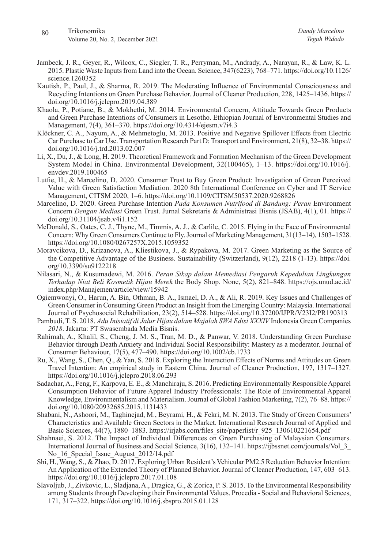- Jambeck, J. R., Geyer, R., Wilcox, C., Siegler, T. R., Perryman, M., Andrady, A., Narayan, R., & Law, K. L. 2015. Plastic Waste Inputs from Land into the Ocean. Science, 347(6223), 768–771. https://doi.org/10.1126/ science.1260352
- Kautish, P., Paul, J., & Sharma, R. 2019. The Moderating Influence of Environmental Consciousness and Recycling Intentions on Green Purchase Behavior. Journal of Cleaner Production, 228, 1425–1436. https:// doi.org/10.1016/j.jclepro.2019.04.389
- Khaola, P., Potiane, B., & Mokhethi, M. 2014. Environmental Concern, Attitude Towards Green Products and Green Purchase Intentions of Consumers in Lesotho. Ethiopian Journal of Environmental Studies and Management, 7(4), 361–370. https://doi.org/10.4314/ejesm.v7i4.3
- Klöckner, C. A., Nayum, A., & Mehmetoglu, M. 2013. Positive and Negative Spillover Effects from Electric Car Purchase to Car Use. Transportation Research Part D: Transport and Environment, 21(8), 32–38. https:// doi.org/10.1016/j.trd.2013.02.007
- Li, X., Du, J., & Long, H. 2019. Theoretical Framework and Formation Mechanism of the Green Development System Model in China. Environmental Development, 32(100465), 1–13. https://doi.org/10.1016/j. envdev.2019.100465
- Lutfie, H., & Marcelino, D. 2020. Consumer Trust to Buy Green Product: Investigation of Green Perceived Value with Green Satisfaction Mediation. 2020 8th International Conference on Cyber and IT Service Management, CITSM 2020, 1–6. https://doi.org/10.1109/CITSM50537.2020.9268826
- Marcelino, D. 2020. Green Purchase Intention *Pada Konsumen Nutrifood di Bandung: Peran* Environment Concern *Dengan Mediasi* Green Trust. Jurnal Sekretaris & Administrasi Bisnis (JSAB), 4(1), 01. https:// doi.org/10.31104/jsab.v4i1.152
- McDonald, S., Oates, C. J., Thyne, M., Timmis, A. J., & Carlile, C. 2015. Flying in the Face of Environmental Concern: Why Green Consumers Continue to Fly. Journal of Marketing Management, 31(13–14), 1503–1528. https://doi.org/10.1080/0267257X.2015.1059352
- Moravcikova, D., Krizanova, A., Kliestikova, J., & Rypakova, M. 2017. Green Marketing as the Source of the Competitive Advantage of the Business. Sustainability (Switzerland), 9(12), 2218 (1-13). https://doi. org/10.3390/su9122218
- Nilasari, N., & Kusumadewi, M. 2016. *Peran Sikap dalam Memediasi Pengaruh Kepedulian Lingkungan Terhadap Niat Beli Kosmetik Hijau Merek* the Body Shop. None, 5(2), 821–848. https://ojs.unud.ac.id/ index.php/Manajemen/article/view/15942
- Ogiemwonyi, O., Harun, A. Bin, Othman, B. A., Ismael, D. A., & Ali, R. 2019. Key Issues and Challenges of Green Consumer in Consuming Green Product an Insight from the Emerging Country: Malaysia. International Journal of Psychosocial Rehabilitation, 23(2), 514–528. https://doi.org/10.37200/IJPR/V23I2/PR190313
- Pambudi, T. S. 2018. *Adu Inisiatif di Jalur Hijau dalam Majalah SWA Edisi XXXIV* Indonesia Green Companies *2018*. Jakarta: PT Swasembada Media Bisnis.
- Rahimah, A., Khalil, S., Cheng, J. M. S., Tran, M. D., & Panwar, V. 2018. Understanding Green Purchase Behavior through Death Anxiety and Individual Social Responsibility: Mastery as a moderator. Journal of Consumer Behaviour, 17(5), 477–490. https://doi.org/10.1002/cb.1733
- Ru, X., Wang, S., Chen, Q., & Yan, S. 2018. Exploring the Interaction Effects of Norms and Attitudes on Green Travel Intention: An empirical study in Eastern China. Journal of Cleaner Production, 197, 1317–1327. https://doi.org/10.1016/j.jclepro.2018.06.293
- Sadachar, A., Feng, F., Karpova, E. E., & Manchiraju, S. 2016. Predicting Environmentally Responsible Apparel Consumption Behavior of Future Apparel Industry Professionals: The Role of Environmental Apparel Knowledge, Environmentalism and Materialism. Journal of Global Fashion Marketing, 7(2), 76–88. https:// doi.org/10.1080/20932685.2015.1131433
- Shabani, N., Ashoori, M., Taghinejad, M., Beyrami, H., & Fekri, M. N. 2013. The Study of Green Consumers' Characteristics and Available Green Sectors in the Market. International Research Journal of Applied and Basic Sciences, 44(7), 1880–1883. https://irjabs.com/files\_site/paperlist/r\_925\_130610221654.pdf
- Shahnaei, S. 2012. The Impact of Individual Differences on Green Purchasing of Malaysian Consumers. International Journal of Business and Social Science, 3(16), 132–141. https://ijbssnet.com/journals/Vol\_3\_ No 16 Special Issue August 2012/14.pdf
- Shi, H., Wang, S., & Zhao, D. 2017. Exploring Urban Resident's Vehicular PM2.5 Reduction Behavior Intention: An Application of the Extended Theory of Planned Behavior. Journal of Cleaner Production, 147, 603–613. https://doi.org/10.1016/j.jclepro.2017.01.108
- Slavoljub, J., Zivkovic, L., Sladjana, A., Dragica, G., & Zorica, P. S. 2015. To the Environmental Responsibility among Students through Developing their Environmental Values. Procedia - Social and Behavioral Sciences, 171, 317–322. https://doi.org/10.1016/j.sbspro.2015.01.128